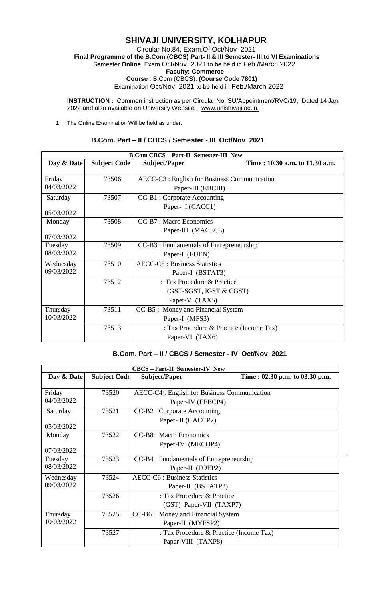# **SHIVAJI UNIVERSITY, KOLHAPUR**

Circular No.84, Exam.Of Oct/Nov 2021  **Final Programme of the B.Com.(CBCS) Part- II & III Semester- III to VI Examinations** Semester **Online** Exam Oct/Nov 2021 to be held in Feb./March 2022  **Faculty: Commerce Course** : B.Com (CBCS). **(Course Code 7801)** Examination Oct/Nov 2021 to be held in Feb./March 2022

**INSTRUCTION**: Common instruction as per Circular No. SU/Appointment/RVC/19, Dated 14 Jan. 2022 and also available on University Website : www.unishivaji.ac.in.

1. The Online Examination Will be held as under.

### **B.Com. Part – II / CBCS / Semester - III Oct/Nov 2021**

| <b>B.Com CBCS - Part-II Semester-III New</b> |                     |                                              |                                |  |
|----------------------------------------------|---------------------|----------------------------------------------|--------------------------------|--|
| Day & Date                                   | <b>Subject Code</b> | Subject/Paper                                | Time: 10.30 a.m. to 11.30 a.m. |  |
|                                              |                     |                                              |                                |  |
| Friday                                       | 73506               | AECC-C3 : English for Business Communication |                                |  |
| 04/03/2022                                   |                     | Paper-III (EBCIII)                           |                                |  |
| Saturday                                     | 73507               | CC-B1 : Corporate Accounting                 |                                |  |
|                                              |                     | Paper- I (CACC1)                             |                                |  |
| 05/03/2022                                   |                     |                                              |                                |  |
| Monday                                       | 73508               | CC-B7 : Macro Economics                      |                                |  |
|                                              |                     | Paper-III (MACEC3)                           |                                |  |
| 07/03/2022                                   |                     |                                              |                                |  |
| Tuesday                                      | 73509               | CC-B3 : Fundamentals of Entrepreneurship     |                                |  |
| 08/03/2022                                   |                     | Paper-I (FUEN)                               |                                |  |
| Wednesday                                    | 73510               | <b>AECC-C5</b> : Business Statistics         |                                |  |
| 09/03/2022                                   |                     | Paper-I (BSTAT3)                             |                                |  |
|                                              | 73512               | : Tax Procedure & Practice                   |                                |  |
|                                              |                     | (GST-SGST, IGST & CGST)                      |                                |  |
|                                              |                     | Paper-V (TAX5)                               |                                |  |
| Thursday                                     | 73511               | CC-B5 : Money and Financial System           |                                |  |
| 10/03/2022                                   |                     | Paper-I (MFS3)                               |                                |  |
|                                              | 73513               | : Tax Procedure & Practice (Income Tax)      |                                |  |
|                                              |                     | Paper-VI (TAX6)                              |                                |  |

### **B.Com. Part – II / CBCS / Semester - IV Oct/Nov 2021**

| <b>CBCS-Part-II Semester-IV New</b> |                     |                                                                   |                                |  |
|-------------------------------------|---------------------|-------------------------------------------------------------------|--------------------------------|--|
| Day & Date                          | <b>Subject Code</b> | <b>Subject/Paper</b>                                              | Time: 02.30 p.m. to 03.30 p.m. |  |
| Friday<br>04/03/2022                | 73520               | AECC-C4 : English for Business Communication<br>Paper-IV (EFBCP4) |                                |  |
| Saturday<br>05/03/2022              | 73521               | CC-B2 : Corporate Accounting<br>Paper- II (CACCP2)                |                                |  |
| Monday<br>07/03/2022                | 73522               | CC-B8 : Macro Economics<br>Paper-IV (MECOP4)                      |                                |  |
| Tuesday<br>08/03/2022               | 73523               | CC-B4 : Fundamentals of Entrepreneurship<br>Paper-II (FOEP2)      |                                |  |
| Wednesday<br>09/03/2022             | 73524               | <b>AECC-C6</b> : Business Statistics<br>Paper-II (BSTATP2)        |                                |  |
|                                     | 73526               | : Tax Procedure & Practice<br>(GST) Paper-VII (TAXP7)             |                                |  |
| Thursday<br>10/03/2022              | 73525               | CC-B6: Money and Financial System<br>Paper-II (MYFSP2)            |                                |  |
|                                     | 73527               | : Tax Procedure & Practice (Income Tax)<br>Paper-VIII (TAXP8)     |                                |  |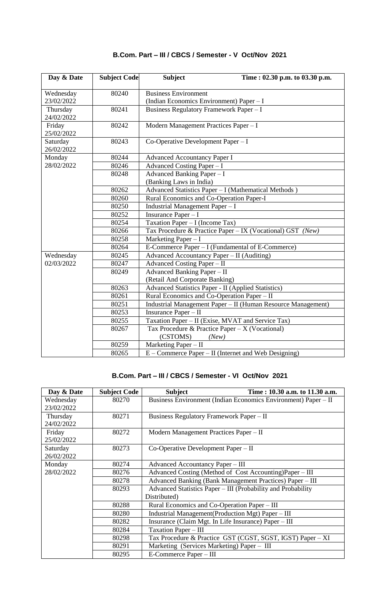| Day & Date             | <b>Subject Code</b> | <b>Subject</b><br>Time: 02.30 p.m. to 03.30 p.m.                       |  |
|------------------------|---------------------|------------------------------------------------------------------------|--|
| Wednesday              | 80240               | <b>Business Environment</b>                                            |  |
| 23/02/2022             |                     | (Indian Economics Environment) Paper - I                               |  |
| Thursday<br>24/02/2022 | 80241               | Business Regulatory Framework Paper - I                                |  |
| Friday<br>25/02/2022   | 80242               | Modern Management Practices Paper - I                                  |  |
| Saturday<br>26/02/2022 | 80243               | Co-Operative Development Paper - I                                     |  |
| Monday                 | 80244               | <b>Advanced Accountancy Paper I</b>                                    |  |
| 28/02/2022             | 80246               | Advanced Costing Paper - I                                             |  |
|                        | 80248               | Advanced Banking Paper - I                                             |  |
|                        |                     | (Banking Laws in India)                                                |  |
|                        | 80262               | Advanced Statistics Paper - I (Mathematical Methods)                   |  |
|                        | 80260               | Rural Economics and Co-Operation Paper-I                               |  |
|                        | 80250               | Industrial Management Paper - I                                        |  |
|                        | 80252               | Insurance Paper - I                                                    |  |
|                        | 80254               | Taxation Paper - I (Income Tax)                                        |  |
|                        | 80266               | Tax Procedure & Practice Paper - IX (Vocational) GST (New)             |  |
|                        | 80258               | Marketing Paper $-I$                                                   |  |
|                        | 80264               | E-Commerce Paper - I (Fundamental of E-Commerce)                       |  |
| Wednesday              | 80245               | Advanced Accountancy Paper - II (Auditing)                             |  |
| 02/03/2022             | 80247               | Advanced Costing Paper - II                                            |  |
|                        | 80249               | Advanced Banking Paper - II                                            |  |
|                        |                     | (Retail And Corporate Banking)                                         |  |
|                        | 80263               | Advanced Statistics Paper - II (Applied Statistics)                    |  |
|                        | 80261               | Rural Economics and Co-Operation Paper - II                            |  |
|                        | 80251               | Industrial Management Paper - II (Human Resource Management)           |  |
|                        | 80253               | Insurance Paper - II                                                   |  |
|                        | 80255               | Taxation Paper - II (Exise, MVAT and Service Tax)                      |  |
|                        | 80267               | Tax Procedure & Practice Paper – $X$ (Vocational)<br>(CSTOMS)<br>(New) |  |
|                        | 80259               | Marketing Paper - II                                                   |  |
|                        | 80265               | $E$ – Commerce Paper – II (Internet and Web Designing)                 |  |

## **B.Com. Part – III / CBCS / Semester - V Oct/Nov 2021**

## **B.Com. Part – III / CBCS / Semester - VI Oct/Nov 2021**

| Day & Date | <b>Subject Code</b> | <b>Subject</b><br>Time: 10.30 a.m. to 11.30 a.m.               |
|------------|---------------------|----------------------------------------------------------------|
| Wednesday  | 80270               | Business Environment (Indian Economics Environment) Paper - II |
| 23/02/2022 |                     |                                                                |
| Thursday   | 80271               | Business Regulatory Framework Paper - II                       |
| 24/02/2022 |                     |                                                                |
| Friday     | 80272               | Modern Management Practices Paper - II                         |
| 25/02/2022 |                     |                                                                |
| Saturday   | 80273               | $Co$ -Operative Development Paper – II                         |
| 26/02/2022 |                     |                                                                |
| Monday     | 80274               | <b>Advanced Accountancy Paper - III</b>                        |
| 28/02/2022 | 80276               | Advanced Costing (Method of Cost Accounting)Paper – III        |
|            | 80278               | Advanced Banking (Bank Management Practices) Paper - III       |
|            | 80293               | Advanced Statistics Paper – III (Probability and Probability   |
|            |                     | Distributed)                                                   |
|            | 80288               | Rural Economics and Co-Operation Paper – III                   |
|            | 80280               | Industrial Management (Production Mgt) Paper - III             |
|            | 80282               | Insurance (Claim Mgt. In Life Insurance) Paper – III           |
|            | 80284               | Taxation Paper - III                                           |
|            | 80298               | Tax Procedure & Practice GST (CGST, SGST, IGST) Paper - XI     |
|            | 80291               | Marketing (Services Marketing) Paper - III                     |
|            | 80295               | E-Commerce Paper - III                                         |